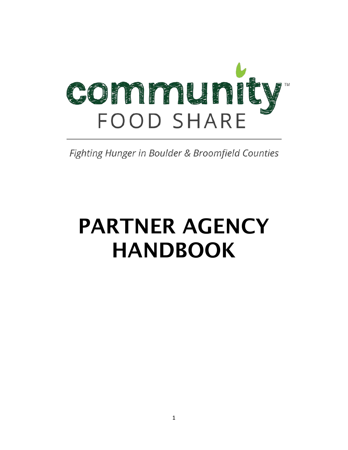

Fighting Hunger in Boulder & Broomfield Counties

# PARTNER AGENCY HANDBOOK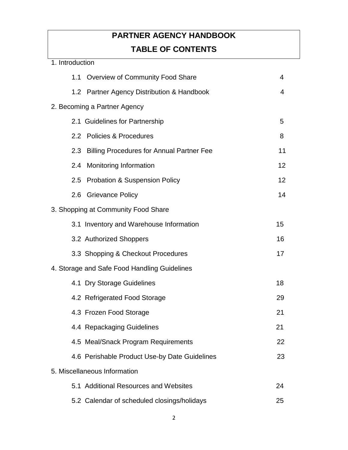# **PARTNER AGENCY HANDBOOK TABLE OF CONTENTS**

| 1. Introduction |                                               |                |
|-----------------|-----------------------------------------------|----------------|
|                 | 1.1 Overview of Community Food Share          | $\overline{4}$ |
|                 | 1.2 Partner Agency Distribution & Handbook    | $\overline{4}$ |
|                 | 2. Becoming a Partner Agency                  |                |
|                 | 2.1 Guidelines for Partnership                | 5              |
|                 | 2.2 Policies & Procedures                     | 8              |
|                 | 2.3 Billing Procedures for Annual Partner Fee | 11             |
|                 | 2.4 Monitoring Information                    | 12             |
|                 | 2.5 Probation & Suspension Policy             | 12             |
|                 | 2.6 Grievance Policy                          | 14             |
|                 | 3. Shopping at Community Food Share           |                |
|                 | 3.1 Inventory and Warehouse Information       | 15             |
|                 | 3.2 Authorized Shoppers                       | 16             |
|                 | 3.3 Shopping & Checkout Procedures            | 17             |
|                 | 4. Storage and Safe Food Handling Guidelines  |                |
|                 | 4.1 Dry Storage Guidelines                    | 18             |
|                 | 4.2 Refrigerated Food Storage                 | 29             |
|                 | 4.3 Frozen Food Storage                       | 21             |
|                 | 4.4 Repackaging Guidelines                    | 21             |
|                 | 4.5 Meal/Snack Program Requirements           | 22             |
|                 | 4.6 Perishable Product Use-by Date Guidelines | 23             |
|                 | 5. Miscellaneous Information                  |                |
|                 | 5.1 Additional Resources and Websites         | 24             |
|                 | 5.2 Calendar of scheduled closings/holidays   | 25             |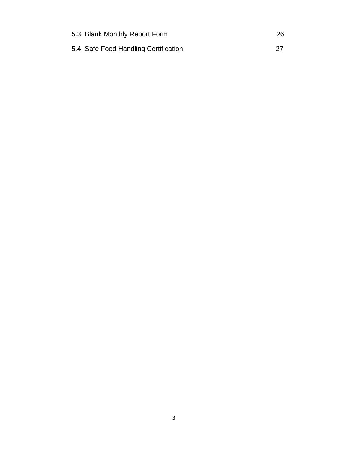| 5.3 Blank Monthly Report Form        | 26 |
|--------------------------------------|----|
| 5.4 Safe Food Handling Certification |    |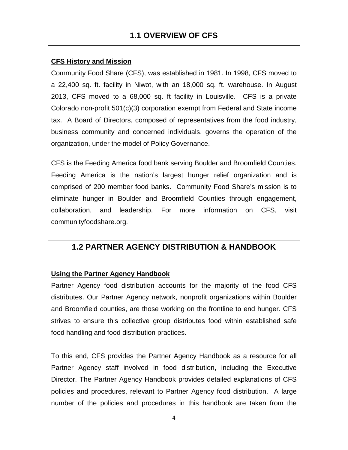#### **CFS History and Mission**

Community Food Share (CFS), was established in 1981. In 1998, CFS moved to a 22,400 sq. ft. facility in Niwot, with an 18,000 sq. ft. warehouse. In August 2013, CFS moved to a 68,000 sq. ft facility in Louisville. CFS is a private Colorado non-profit 501(c)(3) corporation exempt from Federal and State income tax. A Board of Directors, composed of representatives from the food industry, business community and concerned individuals, governs the operation of the organization, under the model of Policy Governance.

CFS is the Feeding America food bank serving Boulder and Broomfield Counties. Feeding America is the nation's largest hunger relief organization and is comprised of 200 member food banks. Community Food Share's mission is to eliminate hunger in Boulder and Broomfield Counties through engagement, collaboration, and leadership. For more information on CFS, visit communityfoodshare.org.

## **1.2 PARTNER AGENCY DISTRIBUTION & HANDBOOK**

#### **Using the Partner Agency Handbook**

Partner Agency food distribution accounts for the majority of the food CFS distributes. Our Partner Agency network, nonprofit organizations within Boulder and Broomfield counties, are those working on the frontline to end hunger. CFS strives to ensure this collective group distributes food within established safe food handling and food distribution practices.

To this end, CFS provides the Partner Agency Handbook as a resource for all Partner Agency staff involved in food distribution, including the Executive Director. The Partner Agency Handbook provides detailed explanations of CFS policies and procedures, relevant to Partner Agency food distribution. A large number of the policies and procedures in this handbook are taken from the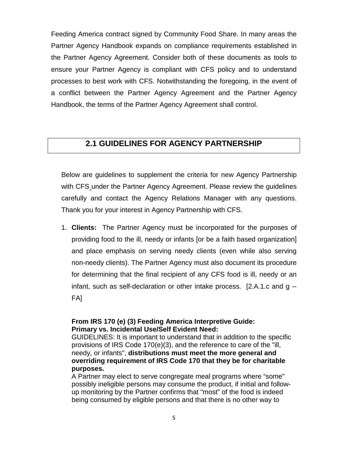Feeding America contract signed by Community Food Share. In many areas the Partner Agency Handbook expands on compliance requirements established in the Partner Agency Agreement. Consider both of these documents as tools to ensure your Partner Agency is compliant with CFS policy and to understand processes to best work with CFS. Notwithstanding the foregoing, in the event of a conflict between the Partner Agency Agreement and the Partner Agency Handbook, the terms of the Partner Agency Agreement shall control.

## **2.1 GUIDELINES FOR AGENCY PARTNERSHIP**

Below are guidelines to supplement the criteria for new Agency Partnership with CFS under the Partner Agency Agreement. Please review the guidelines carefully and contact the Agency Relations Manager with any questions. Thank you for your interest in Agency Partnership with CFS.

1. **Clients:** The Partner Agency must be incorporated for the purposes of providing food to the ill, needy or infants [or be a faith based organization] and place emphasis on serving needy clients (even while also serving non-needy clients). The Partner Agency must also document its procedure for determining that the final recipient of any CFS food is ill, needy or an infant, such as self-declaration or other intake process. [2.A.1.c and g -- FA]

#### **From IRS 170 (e) (3) Feeding America Interpretive Guide: Primary vs. Incidental Use/Self Evident Need:**

GUIDELINES: It is important to understand that in addition to the specific provisions of IRS Code 170(e)(3), and the reference to care of the "ill, needy, or infants", **distributions must meet the more general and overriding requirement of IRS Code 170 that they be for charitable purposes.** 

A Partner may elect to serve congregate meal programs where "some" possibly ineligible persons may consume the product, if initial and followup monitoring by the Partner confirms that "most" of the food is indeed being consumed by eligible persons and that there is no other way to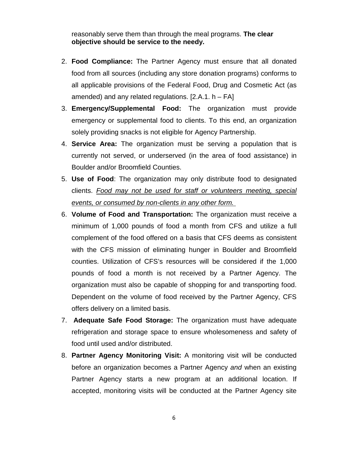reasonably serve them than through the meal programs. **The clear objective should be service to the needy.**

- 2. **Food Compliance:** The Partner Agency must ensure that all donated food from all sources (including any store donation programs) conforms to all applicable provisions of the Federal Food, Drug and Cosmetic Act (as amended) and any related regulations.  $[2.A.1. h - FA]$
- 3. **Emergency/Supplemental Food:** The organization must provide emergency or supplemental food to clients. To this end, an organization solely providing snacks is not eligible for Agency Partnership.
- 4. **Service Area:** The organization must be serving a population that is currently not served, or underserved (in the area of food assistance) in Boulder and/or Broomfield Counties.
- 5. **Use of Food**: The organization may only distribute food to designated clients. *Food may not be used for staff or volunteers meeting, special events, or consumed by non-clients in any other form.*
- 6. **Volume of Food and Transportation:** The organization must receive a minimum of 1,000 pounds of food a month from CFS and utilize a full complement of the food offered on a basis that CFS deems as consistent with the CFS mission of eliminating hunger in Boulder and Broomfield counties. Utilization of CFS's resources will be considered if the 1,000 pounds of food a month is not received by a Partner Agency. The organization must also be capable of shopping for and transporting food. Dependent on the volume of food received by the Partner Agency, CFS offers delivery on a limited basis.
- 7. **Adequate Safe Food Storage:** The organization must have adequate refrigeration and storage space to ensure wholesomeness and safety of food until used and/or distributed.
- 8. **Partner Agency Monitoring Visit:** A monitoring visit will be conducted before an organization becomes a Partner Agency *and* when an existing Partner Agency starts a new program at an additional location. If accepted, monitoring visits will be conducted at the Partner Agency site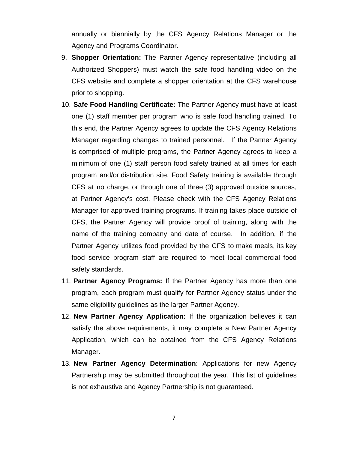annually or biennially by the CFS Agency Relations Manager or the Agency and Programs Coordinator.

- 9. **Shopper Orientation:** The Partner Agency representative (including all Authorized Shoppers) must watch the safe food handling video on the CFS website and complete a shopper orientation at the CFS warehouse prior to shopping.
- 10. **Safe Food Handling Certificate:** The Partner Agency must have at least one (1) staff member per program who is safe food handling trained. To this end, the Partner Agency agrees to update the CFS Agency Relations Manager regarding changes to trained personnel. If the Partner Agency is comprised of multiple programs, the Partner Agency agrees to keep a minimum of one (1) staff person food safety trained at all times for each program and/or distribution site. Food Safety training is available through CFS at no charge, or through one of three (3) approved outside sources, at Partner Agency's cost. Please check with the CFS Agency Relations Manager for approved training programs. If training takes place outside of CFS, the Partner Agency will provide proof of training, along with the name of the training company and date of course. In addition, if the Partner Agency utilizes food provided by the CFS to make meals, its key food service program staff are required to meet local commercial food safety standards.
- 11. **Partner Agency Programs:** If the Partner Agency has more than one program, each program must qualify for Partner Agency status under the same eligibility guidelines as the larger Partner Agency.
- 12. **New Partner Agency Application:** If the organization believes it can satisfy the above requirements, it may complete a New Partner Agency Application, which can be obtained from the CFS Agency Relations Manager.
- 13. **New Partner Agency Determination**: Applications for new Agency Partnership may be submitted throughout the year. This list of guidelines is not exhaustive and Agency Partnership is not guaranteed.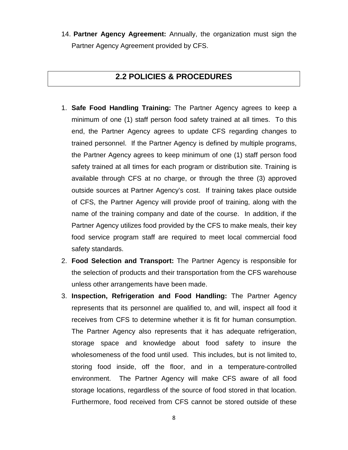14. **Partner Agency Agreement:** Annually, the organization must sign the Partner Agency Agreement provided by CFS.

## **2.2 POLICIES & PROCEDURES**

- 1. **Safe Food Handling Training:** The Partner Agency agrees to keep a minimum of one (1) staff person food safety trained at all times. To this end, the Partner Agency agrees to update CFS regarding changes to trained personnel. If the Partner Agency is defined by multiple programs, the Partner Agency agrees to keep minimum of one (1) staff person food safety trained at all times for each program or distribution site. Training is available through CFS at no charge, or through the three (3) approved outside sources at Partner Agency's cost. If training takes place outside of CFS, the Partner Agency will provide proof of training, along with the name of the training company and date of the course. In addition, if the Partner Agency utilizes food provided by the CFS to make meals, their key food service program staff are required to meet local commercial food safety standards.
- 2. **Food Selection and Transport:** The Partner Agency is responsible for the selection of products and their transportation from the CFS warehouse unless other arrangements have been made.
- 3. **Inspection, Refrigeration and Food Handling:** The Partner Agency represents that its personnel are qualified to, and will, inspect all food it receives from CFS to determine whether it is fit for human consumption. The Partner Agency also represents that it has adequate refrigeration, storage space and knowledge about food safety to insure the wholesomeness of the food until used. This includes, but is not limited to, storing food inside, off the floor, and in a temperature-controlled environment. The Partner Agency will make CFS aware of all food storage locations, regardless of the source of food stored in that location. Furthermore, food received from CFS cannot be stored outside of these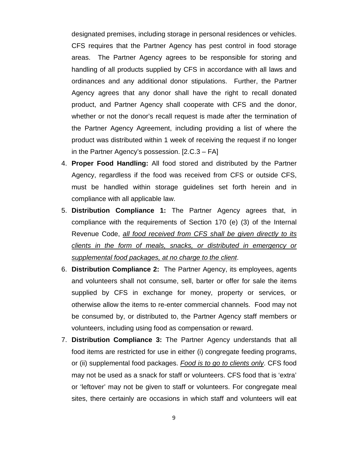designated premises, including storage in personal residences or vehicles. CFS requires that the Partner Agency has pest control in food storage areas. The Partner Agency agrees to be responsible for storing and handling of all products supplied by CFS in accordance with all laws and ordinances and any additional donor stipulations. Further, the Partner Agency agrees that any donor shall have the right to recall donated product, and Partner Agency shall cooperate with CFS and the donor, whether or not the donor's recall request is made after the termination of the Partner Agency Agreement, including providing a list of where the product was distributed within 1 week of receiving the request if no longer in the Partner Agency's possession. [2.C.3 – FA]

- 4. **Proper Food Handling:** All food stored and distributed by the Partner Agency, regardless if the food was received from CFS or outside CFS, must be handled within storage guidelines set forth herein and in compliance with all applicable law.
- 5. **Distribution Compliance 1:** The Partner Agency agrees that, in compliance with the requirements of Section 170 (e) (3) of the Internal Revenue Code, *all food received from CFS shall be given directly to its clients in the form of meals, snacks, or distributed in emergency or supplemental food packages, at no charge to the client*.
- 6. **Distribution Compliance 2:** The Partner Agency, its employees, agents and volunteers shall not consume, sell, barter or offer for sale the items supplied by CFS in exchange for money, property or services, or otherwise allow the items to re-enter commercial channels. Food may not be consumed by, or distributed to, the Partner Agency staff members or volunteers, including using food as compensation or reward.
- 7. **Distribution Compliance 3:** The Partner Agency understands that all food items are restricted for use in either (i) congregate feeding programs, or (ii) supplemental food packages. *Food is to go to clients only*. CFS food may not be used as a snack for staff or volunteers. CFS food that is 'extra' or 'leftover' may not be given to staff or volunteers. For congregate meal sites, there certainly are occasions in which staff and volunteers will eat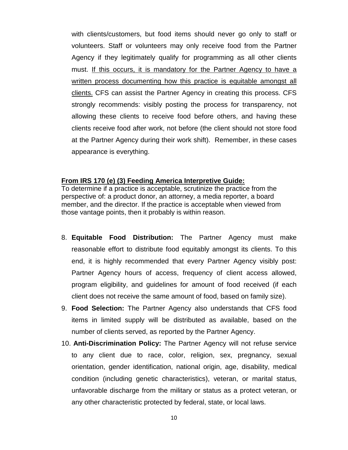with clients/customers, but food items should never go only to staff or volunteers. Staff or volunteers may only receive food from the Partner Agency if they legitimately qualify for programming as all other clients must. If this occurs, it is mandatory for the Partner Agency to have a written process documenting how this practice is equitable amongst all clients. CFS can assist the Partner Agency in creating this process. CFS strongly recommends: visibly posting the process for transparency, not allowing these clients to receive food before others, and having these clients receive food after work, not before (the client should not store food at the Partner Agency during their work shift). Remember, in these cases appearance is everything.

#### **From IRS 170 (e) (3) Feeding America Interpretive Guide:**

To determine if a practice is acceptable, scrutinize the practice from the perspective of: a product donor, an attorney, a media reporter, a board member, and the director. If the practice is acceptable when viewed from those vantage points, then it probably is within reason.

- 8. **Equitable Food Distribution:** The Partner Agency must make reasonable effort to distribute food equitably amongst its clients. To this end, it is highly recommended that every Partner Agency visibly post: Partner Agency hours of access, frequency of client access allowed, program eligibility, and guidelines for amount of food received (if each client does not receive the same amount of food, based on family size).
- 9. **Food Selection:** The Partner Agency also understands that CFS food items in limited supply will be distributed as available, based on the number of clients served, as reported by the Partner Agency.
- 10. **Anti-Discrimination Policy:** The Partner Agency will not refuse service to any client due to race, color, religion, sex, pregnancy, sexual orientation, gender identification, national origin, age, disability, medical condition (including genetic characteristics), veteran, or marital status, unfavorable discharge from the military or status as a protect veteran, or any other characteristic protected by federal, state, or local laws.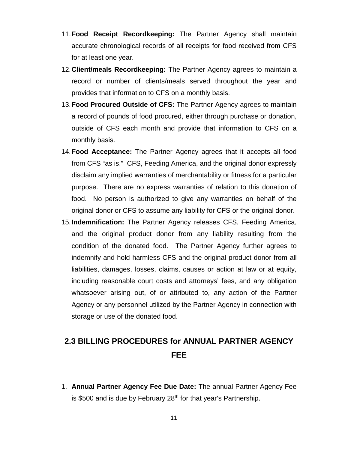- 11.**Food Receipt Recordkeeping:** The Partner Agency shall maintain accurate chronological records of all receipts for food received from CFS for at least one year.
- 12.**Client/meals Recordkeeping:** The Partner Agency agrees to maintain a record or number of clients/meals served throughout the year and provides that information to CFS on a monthly basis.
- 13.**Food Procured Outside of CFS:** The Partner Agency agrees to maintain a record of pounds of food procured, either through purchase or donation, outside of CFS each month and provide that information to CFS on a monthly basis.
- 14.**Food Acceptance:** The Partner Agency agrees that it accepts all food from CFS "as is." CFS, Feeding America, and the original donor expressly disclaim any implied warranties of merchantability or fitness for a particular purpose. There are no express warranties of relation to this donation of food. No person is authorized to give any warranties on behalf of the original donor or CFS to assume any liability for CFS or the original donor.
- 15.**Indemnification:** The Partner Agency releases CFS, Feeding America, and the original product donor from any liability resulting from the condition of the donated food. The Partner Agency further agrees to indemnify and hold harmless CFS and the original product donor from all liabilities, damages, losses, claims, causes or action at law or at equity, including reasonable court costs and attorneys' fees, and any obligation whatsoever arising out, of or attributed to, any action of the Partner Agency or any personnel utilized by the Partner Agency in connection with storage or use of the donated food.

# **2.3 BILLING PROCEDURES for ANNUAL PARTNER AGENCY FEE**

1. **Annual Partner Agency Fee Due Date:** The annual Partner Agency Fee is \$500 and is due by February  $28<sup>th</sup>$  for that year's Partnership.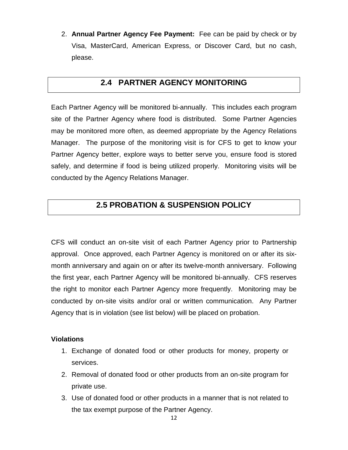2. **Annual Partner Agency Fee Payment:** Fee can be paid by check or by Visa, MasterCard, American Express, or Discover Card, but no cash, please.

## **2.4 PARTNER AGENCY MONITORING**

Each Partner Agency will be monitored bi-annually. This includes each program site of the Partner Agency where food is distributed. Some Partner Agencies may be monitored more often, as deemed appropriate by the Agency Relations Manager. The purpose of the monitoring visit is for CFS to get to know your Partner Agency better, explore ways to better serve you, ensure food is stored safely, and determine if food is being utilized properly. Monitoring visits will be conducted by the Agency Relations Manager.

## **2.5 PROBATION & SUSPENSION POLICY**

CFS will conduct an on-site visit of each Partner Agency prior to Partnership approval. Once approved, each Partner Agency is monitored on or after its sixmonth anniversary and again on or after its twelve-month anniversary. Following the first year, each Partner Agency will be monitored bi-annually. CFS reserves the right to monitor each Partner Agency more frequently. Monitoring may be conducted by on-site visits and/or oral or written communication. Any Partner Agency that is in violation (see list below) will be placed on probation.

#### **Violations**

- 1. Exchange of donated food or other products for money, property or services.
- 2. Removal of donated food or other products from an on-site program for private use.
- 3. Use of donated food or other products in a manner that is not related to the tax exempt purpose of the Partner Agency.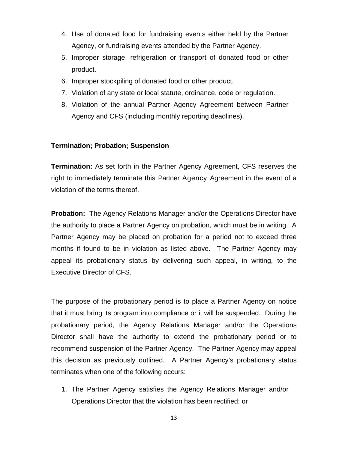- 4. Use of donated food for fundraising events either held by the Partner Agency, or fundraising events attended by the Partner Agency.
- 5. Improper storage, refrigeration or transport of donated food or other product.
- 6. Improper stockpiling of donated food or other product.
- 7. Violation of any state or local statute, ordinance, code or regulation.
- 8. Violation of the annual Partner Agency Agreement between Partner Agency and CFS (including monthly reporting deadlines).

#### **Termination; Probation; Suspension**

**Termination:** As set forth in the Partner Agency Agreement, CFS reserves the right to immediately terminate this Partner Agency Agreement in the event of a violation of the terms thereof.

**Probation:** The Agency Relations Manager and/or the Operations Director have the authority to place a Partner Agency on probation, which must be in writing. A Partner Agency may be placed on probation for a period not to exceed three months if found to be in violation as listed above. The Partner Agency may appeal its probationary status by delivering such appeal, in writing, to the Executive Director of CFS.

The purpose of the probationary period is to place a Partner Agency on notice that it must bring its program into compliance or it will be suspended. During the probationary period, the Agency Relations Manager and/or the Operations Director shall have the authority to extend the probationary period or to recommend suspension of the Partner Agency. The Partner Agency may appeal this decision as previously outlined. A Partner Agency's probationary status terminates when one of the following occurs:

1. The Partner Agency satisfies the Agency Relations Manager and/or Operations Director that the violation has been rectified; or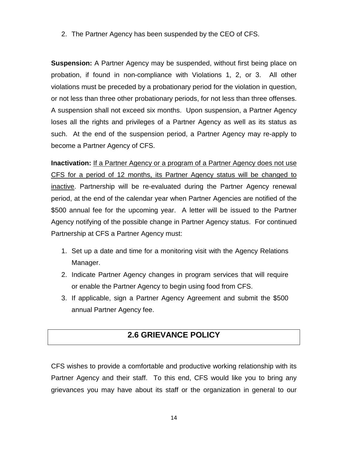2. The Partner Agency has been suspended by the CEO of CFS.

**Suspension:** A Partner Agency may be suspended, without first being place on probation, if found in non-compliance with Violations 1, 2, or 3. All other violations must be preceded by a probationary period for the violation in question, or not less than three other probationary periods, for not less than three offenses. A suspension shall not exceed six months. Upon suspension, a Partner Agency loses all the rights and privileges of a Partner Agency as well as its status as such. At the end of the suspension period, a Partner Agency may re-apply to become a Partner Agency of CFS.

**Inactivation:** If a Partner Agency or a program of a Partner Agency does not use CFS for a period of 12 months, its Partner Agency status will be changed to inactive. Partnership will be re-evaluated during the Partner Agency renewal period, at the end of the calendar year when Partner Agencies are notified of the \$500 annual fee for the upcoming year. A letter will be issued to the Partner Agency notifying of the possible change in Partner Agency status. For continued Partnership at CFS a Partner Agency must:

- 1. Set up a date and time for a monitoring visit with the Agency Relations Manager.
- 2. Indicate Partner Agency changes in program services that will require or enable the Partner Agency to begin using food from CFS.
- 3. If applicable, sign a Partner Agency Agreement and submit the \$500 annual Partner Agency fee.

## **2.6 GRIEVANCE POLICY**

CFS wishes to provide a comfortable and productive working relationship with its Partner Agency and their staff. To this end, CFS would like you to bring any grievances you may have about its staff or the organization in general to our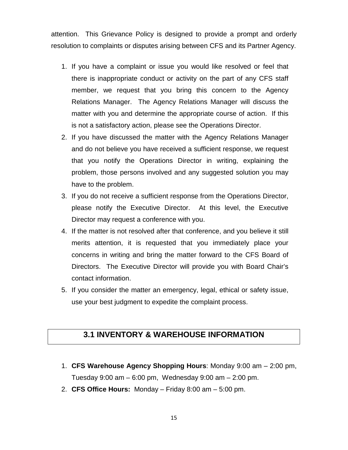attention. This Grievance Policy is designed to provide a prompt and orderly resolution to complaints or disputes arising between CFS and its Partner Agency.

- 1. If you have a complaint or issue you would like resolved or feel that there is inappropriate conduct or activity on the part of any CFS staff member, we request that you bring this concern to the Agency Relations Manager. The Agency Relations Manager will discuss the matter with you and determine the appropriate course of action. If this is not a satisfactory action, please see the Operations Director.
- 2. If you have discussed the matter with the Agency Relations Manager and do not believe you have received a sufficient response, we request that you notify the Operations Director in writing, explaining the problem, those persons involved and any suggested solution you may have to the problem.
- 3. If you do not receive a sufficient response from the Operations Director, please notify the Executive Director. At this level, the Executive Director may request a conference with you.
- 4. If the matter is not resolved after that conference, and you believe it still merits attention, it is requested that you immediately place your concerns in writing and bring the matter forward to the CFS Board of Directors. The Executive Director will provide you with Board Chair's contact information.
- 5. If you consider the matter an emergency, legal, ethical or safety issue, use your best judgment to expedite the complaint process.

## **3.1 INVENTORY & WAREHOUSE INFORMATION**

- 1. **CFS Warehouse Agency Shopping Hours**: Monday 9:00 am 2:00 pm, Tuesday 9:00 am – 6:00 pm, Wednesday 9:00 am – 2:00 pm.
- 2. **CFS Office Hours:** Monday Friday 8:00 am 5:00 pm.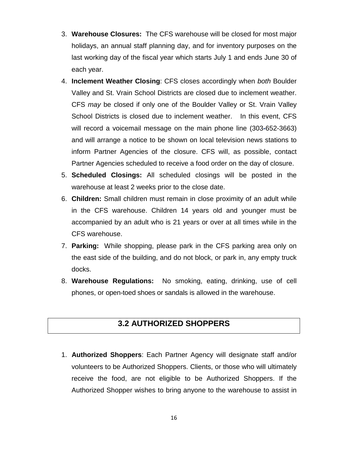- 3. **Warehouse Closures:** The CFS warehouse will be closed for most major holidays, an annual staff planning day, and for inventory purposes on the last working day of the fiscal year which starts July 1 and ends June 30 of each year.
- 4. **Inclement Weather Closing**: CFS closes accordingly when *both* Boulder Valley and St. Vrain School Districts are closed due to inclement weather. CFS *may* be closed if only one of the Boulder Valley or St. Vrain Valley School Districts is closed due to inclement weather. In this event, CFS will record a voicemail message on the main phone line (303**-**652-3663) and will arrange a notice to be shown on local television news stations to inform Partner Agencies of the closure. CFS will, as possible, contact Partner Agencies scheduled to receive a food order on the day of closure.
- 5. **Scheduled Closings:** All scheduled closings will be posted in the warehouse at least 2 weeks prior to the close date.
- 6. **Children:** Small children must remain in close proximity of an adult while in the CFS warehouse. Children 14 years old and younger must be accompanied by an adult who is 21 years or over at all times while in the CFS warehouse.
- 7. **Parking:** While shopping, please park in the CFS parking area only on the east side of the building, and do not block, or park in, any empty truck docks.
- 8. **Warehouse Regulations:** No smoking, eating, drinking, use of cell phones, or open-toed shoes or sandals is allowed in the warehouse.

## **3.2 AUTHORIZED SHOPPERS**

1. **Authorized Shoppers**: Each Partner Agency will designate staff and/or volunteers to be Authorized Shoppers. Clients, or those who will ultimately receive the food, are not eligible to be Authorized Shoppers. If the Authorized Shopper wishes to bring anyone to the warehouse to assist in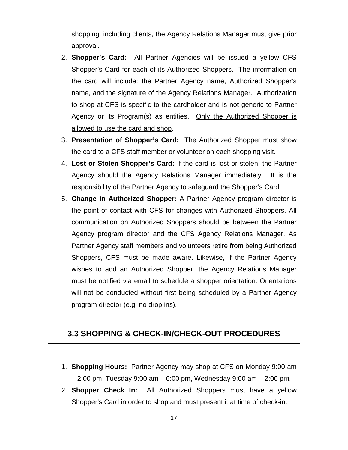shopping, including clients, the Agency Relations Manager must give prior approval.

- 2. **Shopper's Card:** All Partner Agencies will be issued a yellow CFS Shopper's Card for each of its Authorized Shoppers. The information on the card will include: the Partner Agency name, Authorized Shopper's name, and the signature of the Agency Relations Manager. Authorization to shop at CFS is specific to the cardholder and is not generic to Partner Agency or its Program(s) as entities. Only the Authorized Shopper is allowed to use the card and shop.
- 3. **Presentation of Shopper's Card:** The Authorized Shopper must show the card to a CFS staff member or volunteer on each shopping visit.
- 4. **Lost or Stolen Shopper's Card:** If the card is lost or stolen, the Partner Agency should the Agency Relations Manager immediately. It is the responsibility of the Partner Agency to safeguard the Shopper's Card.
- 5. **Change in Authorized Shopper:** A Partner Agency program director is the point of contact with CFS for changes with Authorized Shoppers. All communication on Authorized Shoppers should be between the Partner Agency program director and the CFS Agency Relations Manager. As Partner Agency staff members and volunteers retire from being Authorized Shoppers, CFS must be made aware. Likewise, if the Partner Agency wishes to add an Authorized Shopper, the Agency Relations Manager must be notified via email to schedule a shopper orientation. Orientations will not be conducted without first being scheduled by a Partner Agency program director (e.g. no drop ins).

## **3.3 SHOPPING & CHECK-IN/CHECK-OUT PROCEDURES**

- 1. **Shopping Hours:** Partner Agency may shop at CFS on Monday 9:00 am – 2:00 pm, Tuesday 9:00 am – 6:00 pm, Wednesday 9:00 am – 2:00 pm.
- 2. **Shopper Check In:** All Authorized Shoppers must have a yellow Shopper's Card in order to shop and must present it at time of check-in.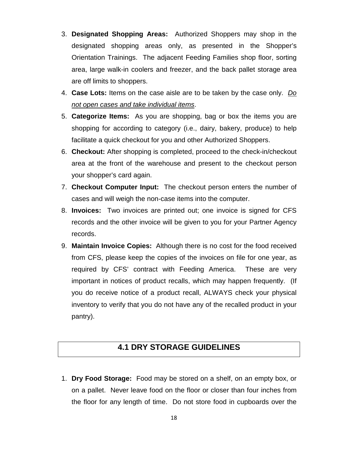- 3. **Designated Shopping Areas:** Authorized Shoppers may shop in the designated shopping areas only, as presented in the Shopper's Orientation Trainings. The adjacent Feeding Families shop floor, sorting area, large walk-in coolers and freezer, and the back pallet storage area are off limits to shoppers.
- 4. **Case Lots:** Items on the case aisle are to be taken by the case only. *Do not open cases and take individual items*.
- 5. **Categorize Items:** As you are shopping, bag or box the items you are shopping for according to category (i.e., dairy, bakery, produce) to help facilitate a quick checkout for you and other Authorized Shoppers.
- 6. **Checkout:** After shopping is completed, proceed to the check-in/checkout area at the front of the warehouse and present to the checkout person your shopper's card again.
- 7. **Checkout Computer Input:** The checkout person enters the number of cases and will weigh the non-case items into the computer.
- 8. **Invoices:** Two invoices are printed out; one invoice is signed for CFS records and the other invoice will be given to you for your Partner Agency records.
- 9. **Maintain Invoice Copies:** Although there is no cost for the food received from CFS, please keep the copies of the invoices on file for one year, as required by CFS' contract with Feeding America. These are very important in notices of product recalls, which may happen frequently. (If you do receive notice of a product recall, ALWAYS check your physical inventory to verify that you do not have any of the recalled product in your pantry).

## **4.1 DRY STORAGE GUIDELINES**

1. **Dry Food Storage:** Food may be stored on a shelf, on an empty box, or on a pallet. Never leave food on the floor or closer than four inches from the floor for any length of time. Do not store food in cupboards over the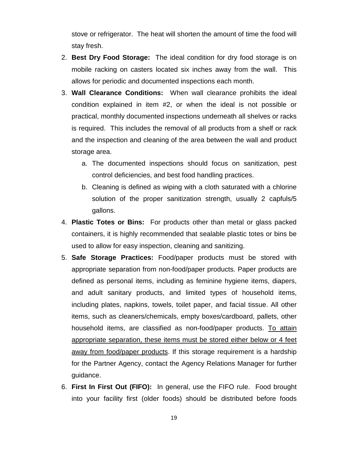stove or refrigerator. The heat will shorten the amount of time the food will stay fresh.

- 2. **Best Dry Food Storage:** The ideal condition for dry food storage is on mobile racking on casters located six inches away from the wall. This allows for periodic and documented inspections each month.
- 3. **Wall Clearance Conditions:** When wall clearance prohibits the ideal condition explained in item #2, or when the ideal is not possible or practical, monthly documented inspections underneath all shelves or racks is required. This includes the removal of all products from a shelf or rack and the inspection and cleaning of the area between the wall and product storage area.
	- a. The documented inspections should focus on sanitization, pest control deficiencies, and best food handling practices.
	- b. Cleaning is defined as wiping with a cloth saturated with a chlorine solution of the proper sanitization strength, usually 2 capfuls/5 gallons.
- 4. **Plastic Totes or Bins:** For products other than metal or glass packed containers, it is highly recommended that sealable plastic totes or bins be used to allow for easy inspection, cleaning and sanitizing.
- 5. **Safe Storage Practices:** Food/paper products must be stored with appropriate separation from non-food/paper products. Paper products are defined as personal items, including as feminine hygiene items, diapers, and adult sanitary products, and limited types of household items, including plates, napkins, towels, toilet paper, and facial tissue. All other items, such as cleaners/chemicals, empty boxes/cardboard, pallets, other household items, are classified as non-food/paper products. To attain appropriate separation, these items must be stored either below or 4 feet away from food/paper products. If this storage requirement is a hardship for the Partner Agency, contact the Agency Relations Manager for further guidance.
- 6. **First In First Out (FIFO):** In general, use the FIFO rule. Food brought into your facility first (older foods) should be distributed before foods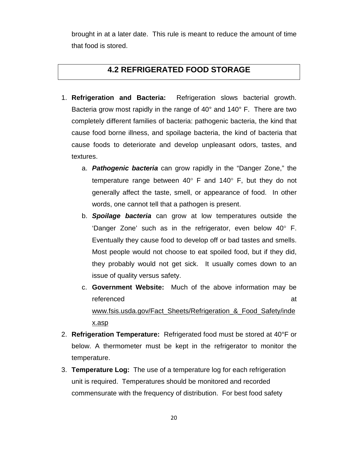brought in at a later date. This rule is meant to reduce the amount of time that food is stored.

## **4.2 REFRIGERATED FOOD STORAGE**

- 1. **Refrigeration and Bacteria:** Refrigeration slows bacterial growth. Bacteria grow most rapidly in the range of 40° and 140° F. There are two completely different families of bacteria: pathogenic bacteria, the kind that cause food borne illness, and spoilage bacteria, the kind of bacteria that cause foods to deteriorate and develop unpleasant odors, tastes, and textures.
	- a. *Pathogenic bacteria* can grow rapidly in the "Danger Zone," the temperature range between 40° F and 140° F, but they do not generally affect the taste, smell, or appearance of food. In other words, one cannot tell that a pathogen is present.
	- b. *Spoilage bacteria* can grow at low temperatures outside the 'Danger Zone' such as in the refrigerator, even below 40° F. Eventually they cause food to develop off or bad tastes and smells. Most people would not choose to eat spoiled food, but if they did, they probably would not get sick. It usually comes down to an issue of quality versus safety.
	- c. **Government Website:** Much of the above information may be referenced at a structure of the structure of the structure of the structure of the structure of the structure www.fsis.usda.gov/Fact Sheets/Refrigeration & Food Safety/inde x.asp
- 2. **Refrigeration Temperature:** Refrigerated food must be stored at 40°F or below. A thermometer must be kept in the refrigerator to monitor the temperature.
- 3. **Temperature Log:** The use of a temperature log for each refrigeration unit is required. Temperatures should be monitored and recorded commensurate with the frequency of distribution. For best food safety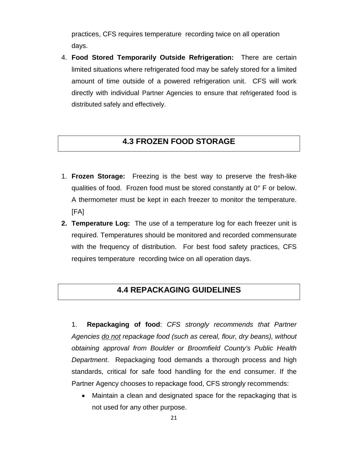practices, CFS requires temperature recording twice on all operation days.

4. **Food Stored Temporarily Outside Refrigeration:** There are certain limited situations where refrigerated food may be safely stored for a limited amount of time outside of a powered refrigeration unit. CFS will work directly with individual Partner Agencies to ensure that refrigerated food is distributed safely and effectively.

## **4.3 FROZEN FOOD STORAGE**

- 1. **Frozen Storage:** Freezing is the best way to preserve the fresh-like qualities of food. Frozen food must be stored constantly at 0° F or below. A thermometer must be kept in each freezer to monitor the temperature. [FA]
- **2. Temperature Log:** The use of a temperature log for each freezer unit is required. Temperatures should be monitored and recorded commensurate with the frequency of distribution. For best food safety practices, CFS requires temperature recording twice on all operation days.

### **4.4 REPACKAGING GUIDELINES**

1. **Repackaging of food**: *CFS strongly recommends that Partner Agencies do not repackage food (such as cereal, flour, dry beans), without obtaining approval from Boulder or Broomfield County's Public Health Department*. Repackaging food demands a thorough process and high standards, critical for safe food handling for the end consumer. If the Partner Agency chooses to repackage food, CFS strongly recommends:

• Maintain a clean and designated space for the repackaging that is not used for any other purpose.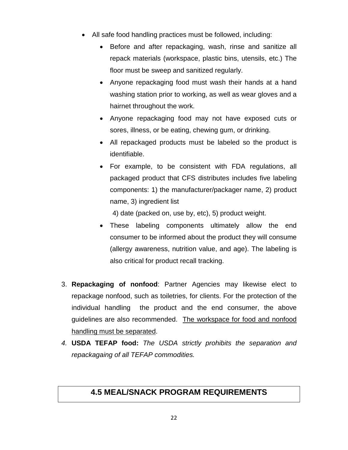- All safe food handling practices must be followed, including:
	- Before and after repackaging, wash, rinse and sanitize all repack materials (workspace, plastic bins, utensils, etc.) The floor must be sweep and sanitized regularly.
	- Anyone repackaging food must wash their hands at a hand washing station prior to working, as well as wear gloves and a hairnet throughout the work.
	- Anyone repackaging food may not have exposed cuts or sores, illness, or be eating, chewing gum, or drinking.
	- All repackaged products must be labeled so the product is identifiable.
	- For example, to be consistent with FDA regulations, all packaged product that CFS distributes includes five labeling components: 1) the manufacturer/packager name, 2) product name, 3) ingredient list

4) date (packed on, use by, etc), 5) product weight.

- These labeling components ultimately allow the end consumer to be informed about the product they will consume (allergy awareness, nutrition value, and age). The labeling is also critical for product recall tracking.
- 3. **Repackaging of nonfood**: Partner Agencies may likewise elect to repackage nonfood, such as toiletries, for clients. For the protection of the individual handling the product and the end consumer, the above guidelines are also recommended. The workspace for food and nonfood handling must be separated.
- *4.* **USDA TEFAP food:** *The USDA strictly prohibits the separation and repackagaing of all TEFAP commodities.*

## **4.5 MEAL/SNACK PROGRAM REQUIREMENTS**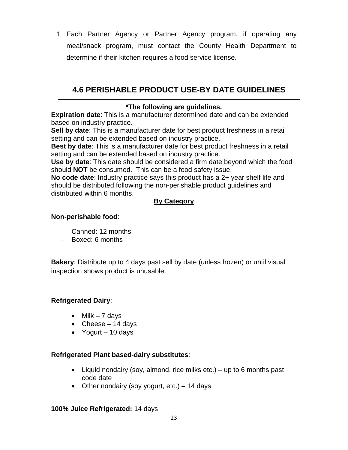1. Each Partner Agency or Partner Agency program, if operating any meal/snack program, must contact the County Health Department to determine if their kitchen requires a food service license.

## **4.6 PERISHABLE PRODUCT USE-BY DATE GUIDELINES**

#### **\*The following are guidelines.**

**Expiration date**: This is a manufacturer determined date and can be extended based on industry practice.

**Sell by date**: This is a manufacturer date for best product freshness in a retail setting and can be extended based on industry practice.

**Best by date**: This is a manufacturer date for best product freshness in a retail setting and can be extended based on industry practice.

**Use by date**: This date should be considered a firm date beyond which the food should **NOT** be consumed. This can be a food safety issue.

**No code date**: Industry practice says this product has a 2+ year shelf life and should be distributed following the non-perishable product guidelines and distributed within 6 months.

#### **By Category**

#### **Non-perishable food**:

- Canned: 12 months
- Boxed: 6 months

**Bakery**: Distribute up to 4 days past sell by date (unless frozen) or until visual inspection shows product is unusable.

#### **Refrigerated Dairy**:

- Milk  $-7$  days
- Cheese  $-14$  days
- Yogurt 10 days

#### **Refrigerated Plant based-dairy substitutes**:

- Liquid nondairy (soy, almond, rice milks etc.) up to 6 months past code date
- Other nondairy (soy yogurt, etc.) 14 days

#### **100% Juice Refrigerated:** 14 days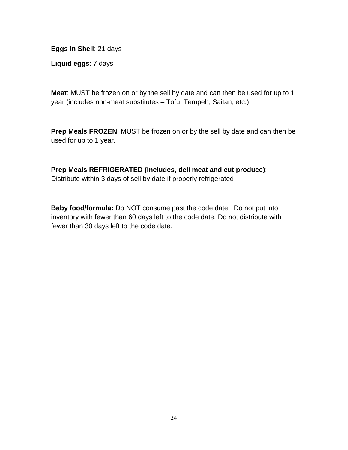**Eggs In Shell**: 21 days

**Liquid eggs**: 7 days

**Meat**: MUST be frozen on or by the sell by date and can then be used for up to 1 year (includes non-meat substitutes – Tofu, Tempeh, Saitan, etc.)

**Prep Meals FROZEN**: MUST be frozen on or by the sell by date and can then be used for up to 1 year.

**Prep Meals REFRIGERATED (includes, deli meat and cut produce)**: Distribute within 3 days of sell by date if properly refrigerated

**Baby food/formula:** Do NOT consume past the code date. Do not put into inventory with fewer than 60 days left to the code date. Do not distribute with fewer than 30 days left to the code date.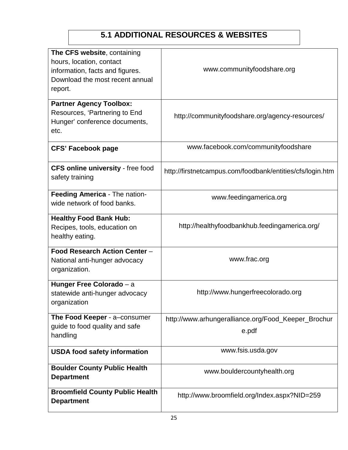# **5.1 ADDITIONAL RESOURCES & WEBSITES**

| The CFS website, containing<br>hours, location, contact<br>information, facts and figures.<br>Download the most recent annual<br>report. | www.communityfoodshare.org                                   |  |  |
|------------------------------------------------------------------------------------------------------------------------------------------|--------------------------------------------------------------|--|--|
| <b>Partner Agency Toolbox:</b><br>Resources, 'Partnering to End<br>Hunger' conference documents,<br>etc.                                 | http://communityfoodshare.org/agency-resources/              |  |  |
| <b>CFS' Facebook page</b>                                                                                                                | www.facebook.com/communityfoodshare                          |  |  |
| <b>CFS online university - free food</b><br>safety training                                                                              | http://firstnetcampus.com/foodbank/entities/cfs/login.htm    |  |  |
| Feeding America - The nation-<br>wide network of food banks.                                                                             | www.feedingamerica.org                                       |  |  |
| <b>Healthy Food Bank Hub:</b><br>Recipes, tools, education on<br>healthy eating.                                                         | http://healthyfoodbankhub.feedingamerica.org/                |  |  |
| Food Research Action Center -<br>National anti-hunger advocacy<br>organization.                                                          | www.frac.org                                                 |  |  |
| Hunger Free Colorado - a<br>statewide anti-hunger advocacy<br>organization                                                               | http://www.hungerfreecolorado.org                            |  |  |
| The Food Keeper - a-consumer<br>guide to food quality and safe<br>handling                                                               | http://www.arhungeralliance.org/Food_Keeper_Brochur<br>e.pdf |  |  |
| <b>USDA food safety information</b>                                                                                                      | www.fsis.usda.gov                                            |  |  |
| <b>Boulder County Public Health</b><br><b>Department</b>                                                                                 | www.bouldercountyhealth.org                                  |  |  |
| <b>Broomfield County Public Health</b><br><b>Department</b>                                                                              | http://www.broomfield.org/Index.aspx?NID=259                 |  |  |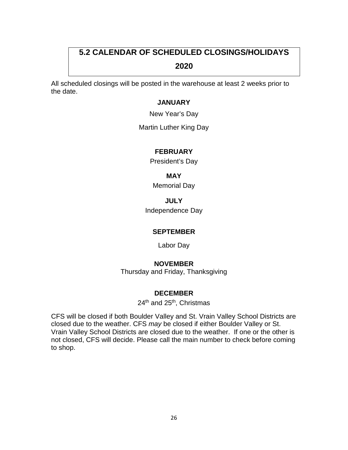# **5.2 CALENDAR OF SCHEDULED CLOSINGS/HOLIDAYS**

#### **2020**

All scheduled closings will be posted in the warehouse at least 2 weeks prior to the date.

#### **JANUARY**

New Year's Day

Martin Luther King Day

#### **FEBRUARY**

President's Day

**MAY**

Memorial Day

**JULY**

Independence Day

#### **SEPTEMBER**

Labor Day

#### **NOVEMBER**

Thursday and Friday, Thanksgiving

#### **DECEMBER**

24<sup>th</sup> and 25<sup>th</sup>, Christmas

CFS will be closed if both Boulder Valley and St. Vrain Valley School Districts are closed due to the weather. CFS *may* be closed if either Boulder Valley or St. Vrain Valley School Districts are closed due to the weather. If one or the other is not closed, CFS will decide. Please call the main number to check before coming to shop.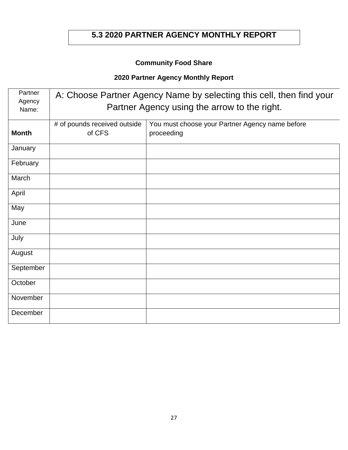## **5.3 2020 PARTNER AGENCY MONTHLY REPORT**

## **Community Food Share**

## **2020 Partner Agency Monthly Report**

| Partner<br>Agency<br>Name: | A: Choose Partner Agency Name by selecting this cell, then find your<br>Partner Agency using the arrow to the right. |                                                               |  |  |  |
|----------------------------|----------------------------------------------------------------------------------------------------------------------|---------------------------------------------------------------|--|--|--|
| <b>Month</b>               | # of pounds received outside<br>of CFS                                                                               | You must choose your Partner Agency name before<br>proceeding |  |  |  |
| January                    |                                                                                                                      |                                                               |  |  |  |
| February                   |                                                                                                                      |                                                               |  |  |  |
| March                      |                                                                                                                      |                                                               |  |  |  |
| April                      |                                                                                                                      |                                                               |  |  |  |
| May                        |                                                                                                                      |                                                               |  |  |  |
| June                       |                                                                                                                      |                                                               |  |  |  |
| July                       |                                                                                                                      |                                                               |  |  |  |
| August                     |                                                                                                                      |                                                               |  |  |  |
| September                  |                                                                                                                      |                                                               |  |  |  |
| October                    |                                                                                                                      |                                                               |  |  |  |
| November                   |                                                                                                                      |                                                               |  |  |  |
| December                   |                                                                                                                      |                                                               |  |  |  |